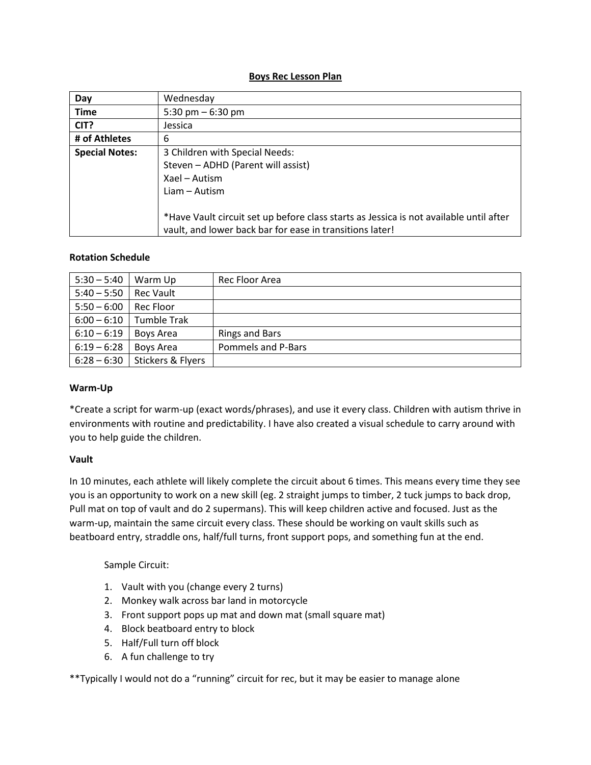#### **Boys Rec Lesson Plan**

| Day                                | Wednesday                                                                                                                                          |  |  |
|------------------------------------|----------------------------------------------------------------------------------------------------------------------------------------------------|--|--|
| <b>Time</b>                        | 5:30 pm $-$ 6:30 pm                                                                                                                                |  |  |
| CIT?                               | Jessica                                                                                                                                            |  |  |
| # of Athletes                      | 6                                                                                                                                                  |  |  |
| <b>Special Notes:</b>              | 3 Children with Special Needs:                                                                                                                     |  |  |
| Steven - ADHD (Parent will assist) |                                                                                                                                                    |  |  |
|                                    | Xael - Autism                                                                                                                                      |  |  |
|                                    | $Liam - Autism$                                                                                                                                    |  |  |
|                                    | *Have Vault circuit set up before class starts as Jessica is not available until after<br>vault, and lower back bar for ease in transitions later! |  |  |

#### **Rotation Schedule**

| $5:30 - 5:40$ | Warm Up           | Rec Floor Area        |
|---------------|-------------------|-----------------------|
| $5:40 - 5:50$ | <b>Rec Vault</b>  |                       |
| $5:50 - 6:00$ | Rec Floor         |                       |
| $6:00 - 6:10$ | Tumble Trak       |                       |
| $6:10 - 6:19$ | Boys Area         | <b>Rings and Bars</b> |
| $6:19 - 6:28$ | Boys Area         | Pommels and P-Bars    |
| $6:28 - 6:30$ | Stickers & Flyers |                       |

#### **Warm-Up**

\*Create a script for warm-up (exact words/phrases), and use it every class. Children with autism thrive in environments with routine and predictability. I have also created a visual schedule to carry around with you to help guide the children.

#### **Vault**

In 10 minutes, each athlete will likely complete the circuit about 6 times. This means every time they see you is an opportunity to work on a new skill (eg. 2 straight jumps to timber, 2 tuck jumps to back drop, Pull mat on top of vault and do 2 supermans). This will keep children active and focused. Just as the warm-up, maintain the same circuit every class. These should be working on vault skills such as beatboard entry, straddle ons, half/full turns, front support pops, and something fun at the end.

## Sample Circuit:

- 1. Vault with you (change every 2 turns)
- 2. Monkey walk across bar land in motorcycle
- 3. Front support pops up mat and down mat (small square mat)
- 4. Block beatboard entry to block
- 5. Half/Full turn off block
- 6. A fun challenge to try

\*\*Typically I would not do a "running" circuit for rec, but it may be easier to manage alone